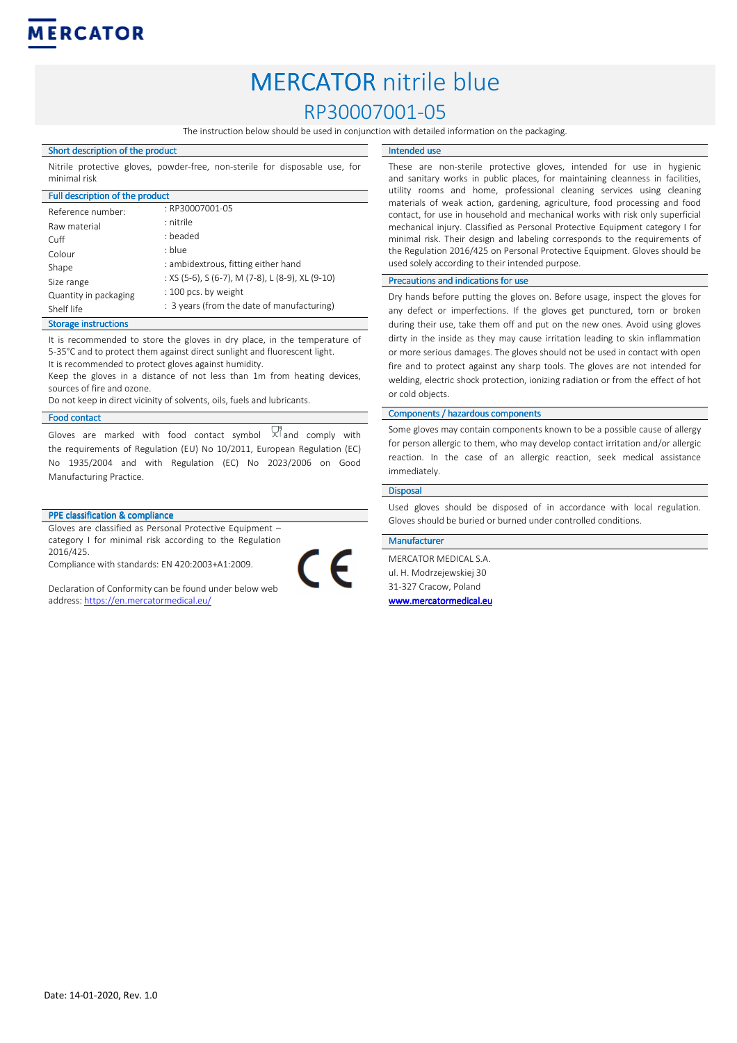

# MERCATOR nitrile blue RP30007001-05

The instruction below should be used in conjunction with detailed information on the packaging.

Intended use

### Short description of the product

Nitrile protective gloves, powder-free, non-sterile for disposable use, for minimal risk

| Full description of the product |                                                  |
|---------------------------------|--------------------------------------------------|
| Reference number:               | : RP30007001-05                                  |
| Raw material                    | : nitrile                                        |
| Cuff                            | : beaded                                         |
| Colour                          | : blue                                           |
| Shape                           | : ambidextrous, fitting either hand              |
| Size range                      | : XS (5-6), S (6-7), M (7-8), L (8-9), XL (9-10) |
| Quantity in packaging           | : 100 pcs. by weight                             |
| Shelf life                      | : 3 years (from the date of manufacturing)       |

#### Storage instructions

It is recommended to store the gloves in dry place, in the temperature of 5-35°C and to protect them against direct sunlight and fluorescent light.

It is recommended to protect gloves against humidity.

Keep the gloves in a distance of not less than 1m from heating devices, sources of fire and ozone.

Do not keep in direct vicinity of solvents, oils, fuels and lubricants.

#### Food contact

Gloves are marked with food contact symbol  $\times$  and comply with the requirements of Regulation (EU) No 10/2011, European Regulation (EC) No 1935/2004 and with Regulation (EC) No 2023/2006 on Good Manufacturing Practice.

# PPE classification & compliance

Gloves are classified as Personal Protective Equipment – category I for minimal risk according to the Regulation 2016/425.

Compliance with standards: EN 420:2003+A1:2009.

Declaration of Conformity can be found under below web address: https://en.mercatormedical.eu/

These are non-sterile protective gloves, intended for use in hygienic and sanitary works in public places, for maintaining cleanness in facilities, utility rooms and home, professional cleaning services using cleaning materials of weak action, gardening, agriculture, food processing and food contact, for use in household and mechanical works with risk only superficial mechanical injury. Classified as Personal Protective Equipment category I for minimal risk. Their design and labeling corresponds to the requirements of the Regulation 2016/425 on Personal Protective Equipment. Gloves should be

#### Precautions and indications for use

used solely according to their intended purpose.

Dry hands before putting the gloves on. Before usage, inspect the gloves for any defect or imperfections. If the gloves get punctured, torn or broken during their use, take them off and put on the new ones. Avoid using gloves dirty in the inside as they may cause irritation leading to skin inflammation or more serious damages. The gloves should not be used in contact with open fire and to protect against any sharp tools. The gloves are not intended for welding, electric shock protection, ionizing radiation or from the effect of hot or cold objects.

#### Components / hazardous components

Some gloves may contain components known to be a possible cause of allergy for person allergic to them, who may develop contact irritation and/or allergic reaction. In the case of an allergic reaction, seek medical assistance immediately.

#### Disposal

Used gloves should be disposed of in accordance with local regulation. Gloves should be buried or burned under controlled conditions.

## Manufacturer

 $\overline{\phantom{a}}$ 

MERCATOR MEDICAL S.A. ul. H. Modrzejewskiej 30 31-327 Cracow, Poland www.mercatormedical.eu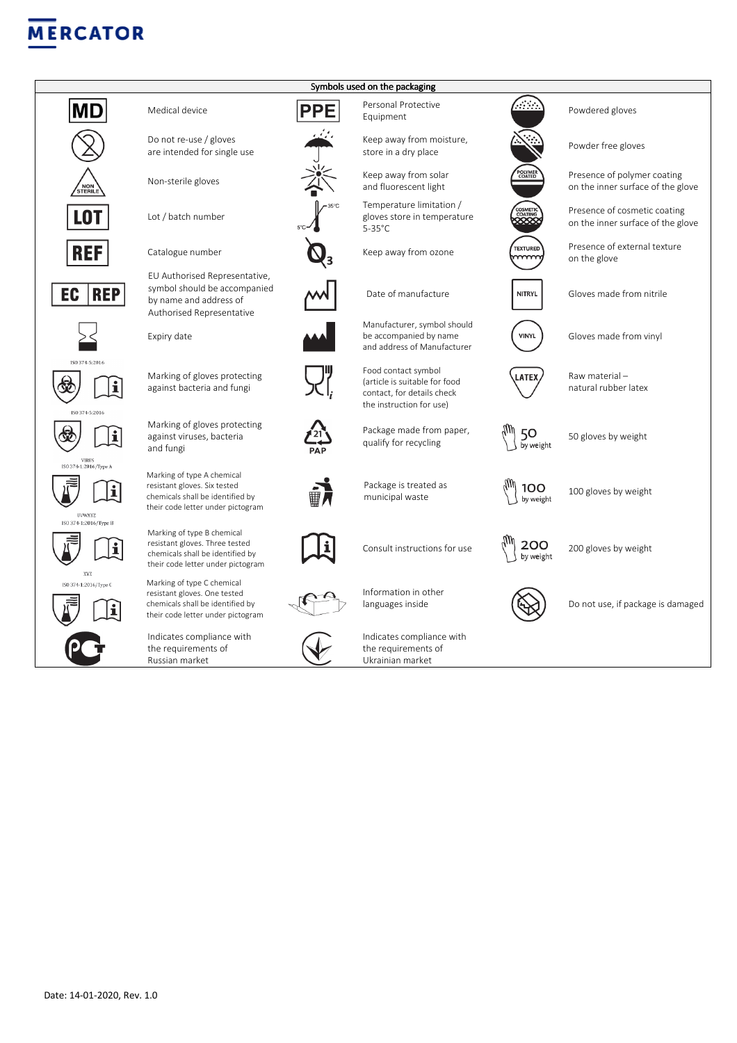# **MERCATOR**